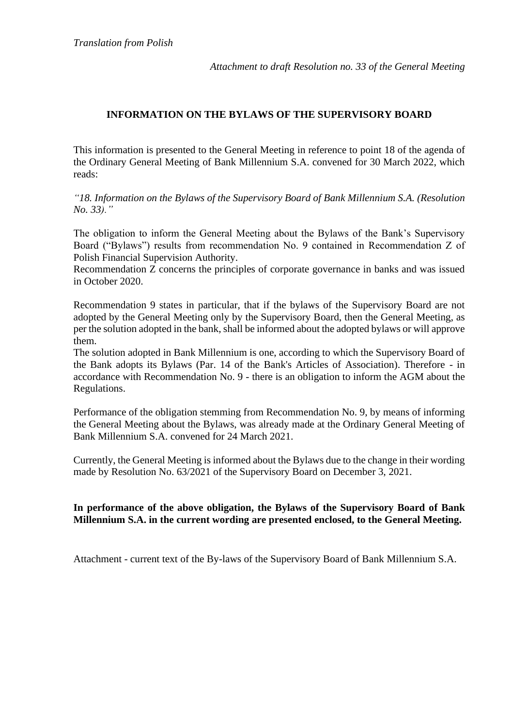*Attachment to draft Resolution no. 33 of the General Meeting*

## **INFORMATION ON THE BYLAWS OF THE SUPERVISORY BOARD**

This information is presented to the General Meeting in reference to point 18 of the agenda of the Ordinary General Meeting of Bank Millennium S.A. convened for 30 March 2022, which reads:

*"18. Information on the Bylaws of the Supervisory Board of Bank Millennium S.A. (Resolution No. 33)."*

The obligation to inform the General Meeting about the Bylaws of the Bank's Supervisory Board ("Bylaws") results from recommendation No. 9 contained in Recommendation Z of Polish Financial Supervision Authority.

Recommendation Z concerns the principles of corporate governance in banks and was issued in October 2020.

Recommendation 9 states in particular, that if the bylaws of the Supervisory Board are not adopted by the General Meeting only by the Supervisory Board, then the General Meeting, as per the solution adopted in the bank, shall be informed about the adopted bylaws or will approve them.

The solution adopted in Bank Millennium is one, according to which the Supervisory Board of the Bank adopts its Bylaws (Par. 14 of the Bank's Articles of Association). Therefore - in accordance with Recommendation No. 9 - there is an obligation to inform the AGM about the Regulations.

Performance of the obligation stemming from Recommendation No. 9, by means of informing the General Meeting about the Bylaws, was already made at the Ordinary General Meeting of Bank Millennium S.A. convened for 24 March 2021.

Currently, the General Meeting is informed about the Bylaws due to the change in their wording made by Resolution No. 63/2021 of the Supervisory Board on December 3, 2021.

## **In performance of the above obligation, the Bylaws of the Supervisory Board of Bank Millennium S.A. in the current wording are presented enclosed, to the General Meeting.**

Attachment - current text of the By-laws of the Supervisory Board of Bank Millennium S.A.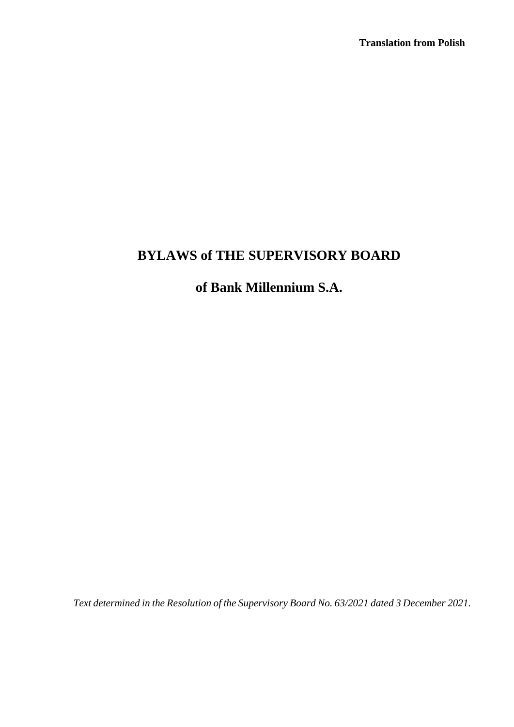# **BYLAWS of THE SUPERVISORY BOARD**

## **of Bank Millennium S.A.**

*Text determined in the Resolution of the Supervisory Board No. 63/2021 dated 3 December 2021.*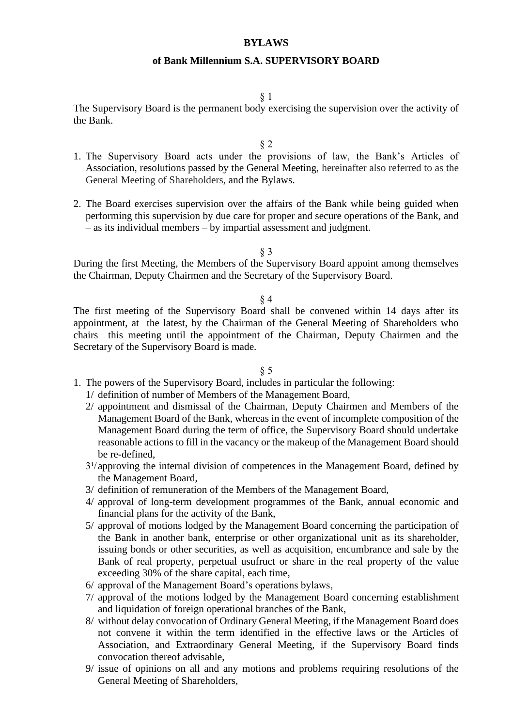#### **BYLAWS**

#### **of Bank Millennium S.A. SUPERVISORY BOARD**

#### § 1

The Supervisory Board is the permanent body exercising the supervision over the activity of the Bank.

§ 2

- 1. The Supervisory Board acts under the provisions of law, the Bank's Articles of Association, resolutions passed by the General Meeting, hereinafter also referred to as the General Meeting of Shareholders, and the Bylaws.
- 2. The Board exercises supervision over the affairs of the Bank while being guided when performing this supervision by due care for proper and secure operations of the Bank, and – as its individual members – by impartial assessment and judgment.

§ 3

During the first Meeting, the Members of the Supervisory Board appoint among themselves the Chairman, Deputy Chairmen and the Secretary of the Supervisory Board.

#### § 4

The first meeting of the Supervisory Board shall be convened within 14 days after its appointment, at the latest, by the Chairman of the General Meeting of Shareholders who chairs this meeting until the appointment of the Chairman, Deputy Chairmen and the Secretary of the Supervisory Board is made.

- 1. The powers of the Supervisory Board, includes in particular the following:
	- 1/ definition of number of Members of the Management Board,
	- 2/ appointment and dismissal of the Chairman, Deputy Chairmen and Members of the Management Board of the Bank, whereas in the event of incomplete composition of the Management Board during the term of office, the Supervisory Board should undertake reasonable actions to fill in the vacancy or the makeup of the Management Board should be re-defined,
	- $3<sup>1</sup>/\text{approxing}$  the internal division of competences in the Management Board, defined by the Management Board,
	- 3/ definition of remuneration of the Members of the Management Board,
	- 4/ approval of long-term development programmes of the Bank, annual economic and financial plans for the activity of the Bank,
	- 5/ approval of motions lodged by the Management Board concerning the participation of the Bank in another bank, enterprise or other organizational unit as its shareholder, issuing bonds or other securities, as well as acquisition, encumbrance and sale by the Bank of real property, perpetual usufruct or share in the real property of the value exceeding 30% of the share capital, each time,
	- 6/ approval of the Management Board's operations bylaws,
	- 7/ approval of the motions lodged by the Management Board concerning establishment and liquidation of foreign operational branches of the Bank,
	- 8/ without delay convocation of Ordinary General Meeting, if the Management Board does not convene it within the term identified in the effective laws or the Articles of Association, and Extraordinary General Meeting, if the Supervisory Board finds convocation thereof advisable,
	- 9/ issue of opinions on all and any motions and problems requiring resolutions of the General Meeting of Shareholders,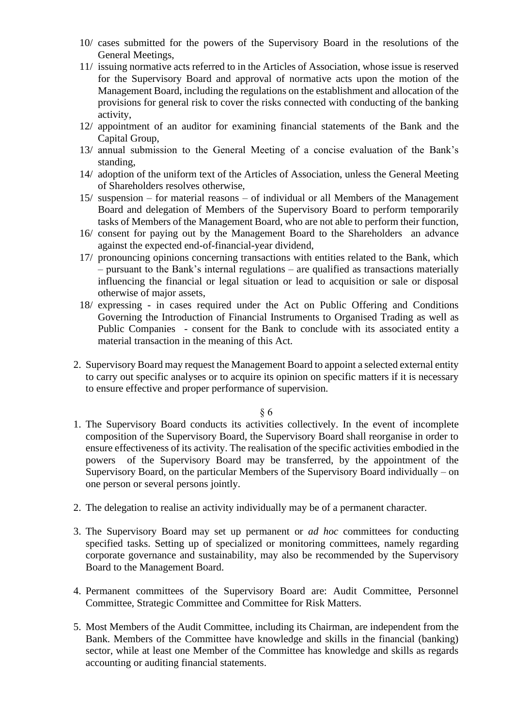- 10/ cases submitted for the powers of the Supervisory Board in the resolutions of the General Meetings,
- 11/ issuing normative acts referred to in the Articles of Association, whose issue is reserved for the Supervisory Board and approval of normative acts upon the motion of the Management Board, including the regulations on the establishment and allocation of the provisions for general risk to cover the risks connected with conducting of the banking activity,
- 12/ appointment of an auditor for examining financial statements of the Bank and the Capital Group,
- 13/ annual submission to the General Meeting of a concise evaluation of the Bank's standing,
- 14/ adoption of the uniform text of the Articles of Association, unless the General Meeting of Shareholders resolves otherwise,
- 15/ suspension for material reasons of individual or all Members of the Management Board and delegation of Members of the Supervisory Board to perform temporarily tasks of Members of the Management Board, who are not able to perform their function,
- 16/ consent for paying out by the Management Board to the Shareholders an advance against the expected end-of-financial-year dividend,
- 17/ pronouncing opinions concerning transactions with entities related to the Bank, which – pursuant to the Bank's internal regulations – are qualified as transactions materially influencing the financial or legal situation or lead to acquisition or sale or disposal otherwise of major assets,
- 18/ expressing in cases required under the Act on Public Offering and Conditions Governing the Introduction of Financial Instruments to Organised Trading as well as Public Companies - consent for the Bank to conclude with its associated entity a material transaction in the meaning of this Act.
- 2. Supervisory Board may request the Management Board to appoint a selected external entity to carry out specific analyses or to acquire its opinion on specific matters if it is necessary to ensure effective and proper performance of supervision.

- 1. The Supervisory Board conducts its activities collectively. In the event of incomplete composition of the Supervisory Board, the Supervisory Board shall reorganise in order to ensure effectiveness of its activity. The realisation of the specific activities embodied in the powers of the Supervisory Board may be transferred, by the appointment of the Supervisory Board, on the particular Members of the Supervisory Board individually – on one person or several persons jointly.
- 2. The delegation to realise an activity individually may be of a permanent character.
- 3. The Supervisory Board may set up permanent or *ad hoc* committees for conducting specified tasks. Setting up of specialized or monitoring committees, namely regarding corporate governance and sustainability, may also be recommended by the Supervisory Board to the Management Board.
- 4. Permanent committees of the Supervisory Board are: Audit Committee, Personnel Committee, Strategic Committee and Committee for Risk Matters.
- 5. Most Members of the Audit Committee, including its Chairman, are independent from the Bank. Members of the Committee have knowledge and skills in the financial (banking) sector, while at least one Member of the Committee has knowledge and skills as regards accounting or auditing financial statements.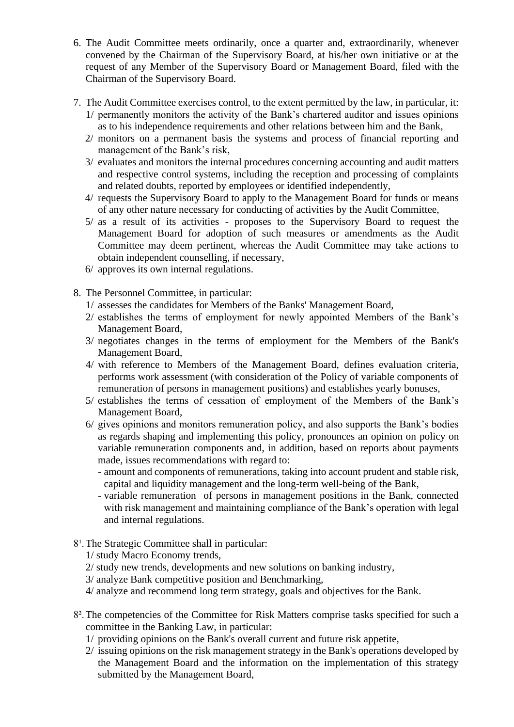- 6. The Audit Committee meets ordinarily, once a quarter and, extraordinarily, whenever convened by the Chairman of the Supervisory Board, at his/her own initiative or at the request of any Member of the Supervisory Board or Management Board, filed with the Chairman of the Supervisory Board.
- 7. The Audit Committee exercises control, to the extent permitted by the law, in particular, it: 1/ permanently monitors the activity of the Bank's chartered auditor and issues opinions as to his independence requirements and other relations between him and the Bank,
	- 2/ monitors on a permanent basis the systems and process of financial reporting and management of the Bank's risk,
	- 3/ evaluates and monitors the internal procedures concerning accounting and audit matters and respective control systems, including the reception and processing of complaints and related doubts, reported by employees or identified independently,
	- 4/ requests the Supervisory Board to apply to the Management Board for funds or means of any other nature necessary for conducting of activities by the Audit Committee,
	- 5/ as a result of its activities proposes to the Supervisory Board to request the Management Board for adoption of such measures or amendments as the Audit Committee may deem pertinent, whereas the Audit Committee may take actions to obtain independent counselling, if necessary,
	- 6/ approves its own internal regulations.
- 8. The Personnel Committee, in particular:
	- 1/ assesses the candidates for Members of the Banks' Management Board,
	- 2/ establishes the terms of employment for newly appointed Members of the Bank's Management Board,
	- 3/ negotiates changes in the terms of employment for the Members of the Bank's Management Board,
	- 4/ with reference to Members of the Management Board, defines evaluation criteria, performs work assessment (with consideration of the Policy of variable components of remuneration of persons in management positions) and establishes yearly bonuses,
	- 5/ establishes the terms of cessation of employment of the Members of the Bank's Management Board,
	- 6/ gives opinions and monitors remuneration policy, and also supports the Bank's bodies as regards shaping and implementing this policy, pronounces an opinion on policy on variable remuneration components and, in addition, based on reports about payments made, issues recommendations with regard to:
		- amount and components of remunerations, taking into account prudent and stable risk, capital and liquidity management and the long-term well-being of the Bank,
		- variable remuneration of persons in management positions in the Bank, connected with risk management and maintaining compliance of the Bank's operation with legal and internal regulations.
- 8<sup>1</sup>. The Strategic Committee shall in particular:
	- 1/ study Macro Economy trends,
	- 2/ study new trends, developments and new solutions on banking industry,
	- 3/ analyze Bank competitive position and Benchmarking,
	- 4/ analyze and recommend long term strategy, goals and objectives for the Bank.
- 8².The competencies of the Committee for Risk Matters comprise tasks specified for such a committee in the Banking Law, in particular:
	- 1/ providing opinions on the Bank's overall current and future risk appetite,
	- 2/ issuing opinions on the risk management strategy in the Bank's operations developed by the Management Board and the information on the implementation of this strategy submitted by the Management Board,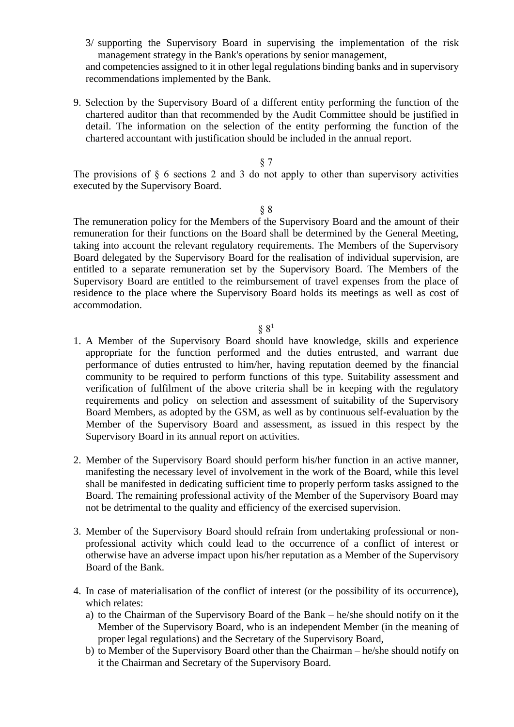3/ supporting the Supervisory Board in supervising the implementation of the risk management strategy in the Bank's operations by senior management, and competencies assigned to it in other legal regulations binding banks and in supervisory recommendations implemented by the Bank.

9. Selection by the Supervisory Board of a different entity performing the function of the chartered auditor than that recommended by the Audit Committee should be justified in detail. The information on the selection of the entity performing the function of the chartered accountant with justification should be included in the annual report.

## § 7

The provisions of  $\S$  6 sections 2 and 3 do not apply to other than supervisory activities executed by the Supervisory Board.

#### § 8

The remuneration policy for the Members of the Supervisory Board and the amount of their remuneration for their functions on the Board shall be determined by the General Meeting, taking into account the relevant regulatory requirements. The Members of the Supervisory Board delegated by the Supervisory Board for the realisation of individual supervision, are entitled to a separate remuneration set by the Supervisory Board. The Members of the Supervisory Board are entitled to the reimbursement of travel expenses from the place of residence to the place where the Supervisory Board holds its meetings as well as cost of accommodation.

- 1. A Member of the Supervisory Board should have knowledge, skills and experience appropriate for the function performed and the duties entrusted, and warrant due performance of duties entrusted to him/her, having reputation deemed by the financial community to be required to perform functions of this type. Suitability assessment and verification of fulfilment of the above criteria shall be in keeping with the regulatory requirements and policy on selection and assessment of suitability of the Supervisory Board Members, as adopted by the GSM, as well as by continuous self-evaluation by the Member of the Supervisory Board and assessment, as issued in this respect by the Supervisory Board in its annual report on activities.
- 2. Member of the Supervisory Board should perform his/her function in an active manner, manifesting the necessary level of involvement in the work of the Board, while this level shall be manifested in dedicating sufficient time to properly perform tasks assigned to the Board. The remaining professional activity of the Member of the Supervisory Board may not be detrimental to the quality and efficiency of the exercised supervision.
- 3. Member of the Supervisory Board should refrain from undertaking professional or nonprofessional activity which could lead to the occurrence of a conflict of interest or otherwise have an adverse impact upon his/her reputation as a Member of the Supervisory Board of the Bank.
- 4. In case of materialisation of the conflict of interest (or the possibility of its occurrence), which relates:
	- a) to the Chairman of the Supervisory Board of the Bank he/she should notify on it the Member of the Supervisory Board, who is an independent Member (in the meaning of proper legal regulations) and the Secretary of the Supervisory Board,
	- b) to Member of the Supervisory Board other than the Chairman he/she should notify on it the Chairman and Secretary of the Supervisory Board.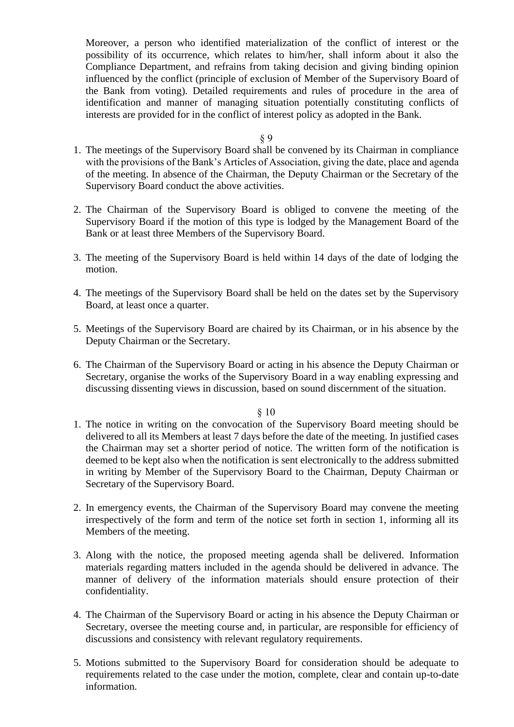Moreover, a person who identified materialization of the conflict of interest or the possibility of its occurrence, which relates to him/her, shall inform about it also the Compliance Department, and refrains from taking decision and giving binding opinion influenced by the conflict (principle of exclusion of Member of the Supervisory Board of the Bank from voting). Detailed requirements and rules of procedure in the area of identification and manner of managing situation potentially constituting conflicts of interests are provided for in the conflict of interest policy as adopted in the Bank.

#### § 9

- 1. The meetings of the Supervisory Board shall be convened by its Chairman in compliance with the provisions of the Bank's Articles of Association, giving the date, place and agenda of the meeting. In absence of the Chairman, the Deputy Chairman or the Secretary of the Supervisory Board conduct the above activities.
- 2. The Chairman of the Supervisory Board is obliged to convene the meeting of the Supervisory Board if the motion of this type is lodged by the Management Board of the Bank or at least three Members of the Supervisory Board.
- 3. The meeting of the Supervisory Board is held within 14 days of the date of lodging the motion.
- 4. The meetings of the Supervisory Board shall be held on the dates set by the Supervisory Board, at least once a quarter.
- 5. Meetings of the Supervisory Board are chaired by its Chairman, or in his absence by the Deputy Chairman or the Secretary.
- 6. The Chairman of the Supervisory Board or acting in his absence the Deputy Chairman or Secretary, organise the works of the Supervisory Board in a way enabling expressing and discussing dissenting views in discussion, based on sound discernment of the situation.

- 1. The notice in writing on the convocation of the Supervisory Board meeting should be delivered to all its Members at least 7 days before the date of the meeting. In justified cases the Chairman may set a shorter period of notice. The written form of the notification is deemed to be kept also when the notification is sent electronically to the address submitted in writing by Member of the Supervisory Board to the Chairman, Deputy Chairman or Secretary of the Supervisory Board.
- 2. In emergency events, the Chairman of the Supervisory Board may convene the meeting irrespectively of the form and term of the notice set forth in section 1, informing all its Members of the meeting.
- 3. Along with the notice, the proposed meeting agenda shall be delivered. Information materials regarding matters included in the agenda should be delivered in advance. The manner of delivery of the information materials should ensure protection of their confidentiality.
- 4. The Chairman of the Supervisory Board or acting in his absence the Deputy Chairman or Secretary, oversee the meeting course and, in particular, are responsible for efficiency of discussions and consistency with relevant regulatory requirements.
- 5. Motions submitted to the Supervisory Board for consideration should be adequate to requirements related to the case under the motion, complete, clear and contain up-to-date information.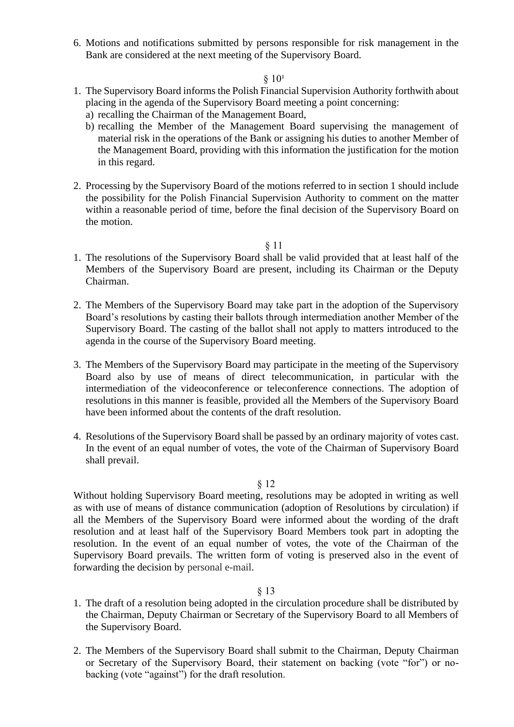6. Motions and notifications submitted by persons responsible for risk management in the Bank are considered at the next meeting of the Supervisory Board.

#### $§ 10<sup>1</sup>$

- 1. The Supervisory Board informs the Polish Financial Supervision Authority forthwith about placing in the agenda of the Supervisory Board meeting a point concerning:
	- a) recalling the Chairman of the Management Board,
	- b) recalling the Member of the Management Board supervising the management of material risk in the operations of the Bank or assigning his duties to another Member of the Management Board, providing with this information the justification for the motion in this regard.
- 2. Processing by the Supervisory Board of the motions referred to in section 1 should include the possibility for the Polish Financial Supervision Authority to comment on the matter within a reasonable period of time, before the final decision of the Supervisory Board on the motion.

#### § 11

- 1. The resolutions of the Supervisory Board shall be valid provided that at least half of the Members of the Supervisory Board are present, including its Chairman or the Deputy Chairman.
- 2. The Members of the Supervisory Board may take part in the adoption of the Supervisory Board's resolutions by casting their ballots through intermediation another Member of the Supervisory Board. The casting of the ballot shall not apply to matters introduced to the agenda in the course of the Supervisory Board meeting.
- 3. The Members of the Supervisory Board may participate in the meeting of the Supervisory Board also by use of means of direct telecommunication, in particular with the intermediation of the videoconference or teleconference connections. The adoption of resolutions in this manner is feasible, provided all the Members of the Supervisory Board have been informed about the contents of the draft resolution.
- 4. Resolutions of the Supervisory Board shall be passed by an ordinary majority of votes cast. In the event of an equal number of votes, the vote of the Chairman of Supervisory Board shall prevail.

#### § 12

Without holding Supervisory Board meeting, resolutions may be adopted in writing as well as with use of means of distance communication (adoption of Resolutions by circulation) if all the Members of the Supervisory Board were informed about the wording of the draft resolution and at least half of the Supervisory Board Members took part in adopting the resolution. In the event of an equal number of votes, the vote of the Chairman of the Supervisory Board prevails. The written form of voting is preserved also in the event of forwarding the decision by personal e-mail.

- 1. The draft of a resolution being adopted in the circulation procedure shall be distributed by the Chairman, Deputy Chairman or Secretary of the Supervisory Board to all Members of the Supervisory Board.
- 2. The Members of the Supervisory Board shall submit to the Chairman, Deputy Chairman or Secretary of the Supervisory Board, their statement on backing (vote "for") or nobacking (vote "against") for the draft resolution.